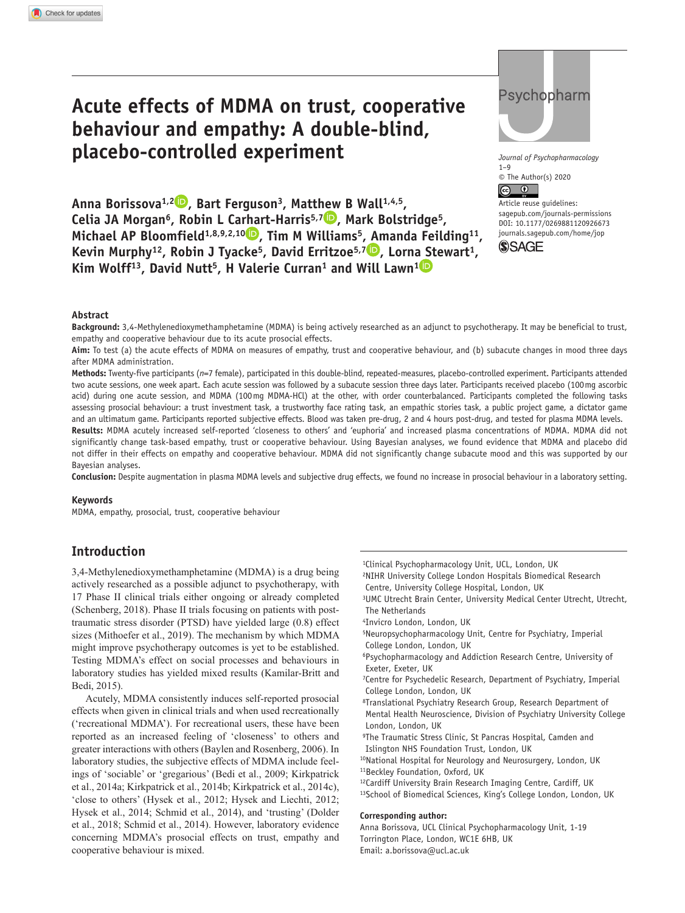# **Acute effects of MDMA on trust, cooperative behaviour and empathy: A double-blind, placebo-controlled experiment**

Anna Borissova<sup>1,2</sup><sup>(b</sup>, Bart Ferguson<sup>3</sup>, Matthew B Wall<sup>1,4,5</sup>, Celia JA Morgan<sup>6</sup>, Robin L Carhart-Harris<sup>5,7</sup><sup>1</sup>, Mark Bolstridge<sup>5</sup>, **Michael AP Bloomfield1,8,9,2,10 , Tim M Williams5, Amanda Feilding11,**  Kevin Murphy<sup>12</sup>, Robin J Tyacke<sup>5</sup>, David Erritzoe<sup>5,7</sup><sup>1</sup>, Lorna Stewart<sup>1</sup>, Kim Wolff<sup>13</sup>, David Nutt<sup>5</sup>, H Valerie Curran<sup>1</sup> and Will Lawn<sup>1</sup>



*Journal of Psychopharmacology*  $1 - 9$  $\circ$  The Author(s) 2020

DOI: 10.1177/0269881120926673 Article reuse guidelines: [sagepub.com/journals-permissions](https://uk.sagepub.com/en-gb/journals-permissions) [journals.sagepub.com/home/jop](https://journals.sagepub.com/home/jop)



# **Abstract**

**Background:** 3,4-Methylenedioxymethamphetamine (MDMA) is being actively researched as an adjunct to psychotherapy. It may be beneficial to trust, empathy and cooperative behaviour due to its acute prosocial effects.

Aim: To test (a) the acute effects of MDMA on measures of empathy, trust and cooperative behaviour, and (b) subacute changes in mood three days after MDMA administration.

**Methods:** Twenty-five participants (*n*=7 female), participated in this double-blind, repeated-measures, placebo-controlled experiment. Participants attended two acute sessions, one week apart. Each acute session was followed by a subacute session three days later. Participants received placebo (100mg ascorbic acid) during one acute session, and MDMA (100mg MDMA-HCl) at the other, with order counterbalanced. Participants completed the following tasks assessing prosocial behaviour: a trust investment task, a trustworthy face rating task, an empathic stories task, a public project game, a dictator game and an ultimatum game. Participants reported subjective effects. Blood was taken pre-drug, 2 and 4 hours post-drug, and tested for plasma MDMA levels.

**Results:** MDMA acutely increased self-reported 'closeness to others' and 'euphoria' and increased plasma concentrations of MDMA. MDMA did not significantly change task-based empathy, trust or cooperative behaviour. Using Bayesian analyses, we found evidence that MDMA and placebo did not differ in their effects on empathy and cooperative behaviour. MDMA did not significantly change subacute mood and this was supported by our Bayesian analyses.

**Conclusion:** Despite augmentation in plasma MDMA levels and subjective drug effects, we found no increase in prosocial behaviour in a laboratory setting.

#### **Keywords**

MDMA, empathy, prosocial, trust, cooperative behaviour

# **Introduction**

3,4-Methylenedioxymethamphetamine (MDMA) is a drug being actively researched as a possible adjunct to psychotherapy, with 17 Phase II clinical trials either ongoing or already completed (Schenberg, 2018). Phase II trials focusing on patients with posttraumatic stress disorder (PTSD) have yielded large (0.8) effect sizes (Mithoefer et al., 2019). The mechanism by which MDMA might improve psychotherapy outcomes is yet to be established. Testing MDMA's effect on social processes and behaviours in laboratory studies has yielded mixed results (Kamilar-Britt and Bedi, 2015).

Acutely, MDMA consistently induces self-reported prosocial effects when given in clinical trials and when used recreationally ('recreational MDMA'). For recreational users, these have been reported as an increased feeling of 'closeness' to others and greater interactions with others (Baylen and Rosenberg, 2006). In laboratory studies, the subjective effects of MDMA include feelings of 'sociable' or 'gregarious' (Bedi et al., 2009; Kirkpatrick et al., 2014a; Kirkpatrick et al., 2014b; Kirkpatrick et al., 2014c), 'close to others' (Hysek et al., 2012; Hysek and Liechti, 2012; Hysek et al., 2014; Schmid et al., 2014), and 'trusting' (Dolder et al., 2018; Schmid et al., 2014). However, laboratory evidence concerning MDMA's prosocial effects on trust, empathy and cooperative behaviour is mixed.

<sup>1</sup>Clinical Psychopharmacology Unit, UCL, London, UK 2NIHR University College London Hospitals Biomedical Research Centre, University College Hospital, London, UK 3UMC Utrecht Brain Center, University Medical Center Utrecht, Utrecht, The Netherlands 4Invicro London, London, UK 5Neuropsychopharmacology Unit, Centre for Psychiatry, Imperial College London, London, UK 6Psychopharmacology and Addiction Research Centre, University of Exeter, Exeter, UK 7Centre for Psychedelic Research, Department of Psychiatry, Imperial College London, London, UK 8Translational Psychiatry Research Group, Research Department of Mental Health Neuroscience, Division of Psychiatry University College London, London, UK 9The Traumatic Stress Clinic, St Pancras Hospital, Camden and Islington NHS Foundation Trust, London, UK 10National Hospital for Neurology and Neurosurgery, London, UK 11Beckley Foundation, Oxford, UK 12Cardiff University Brain Research Imaging Centre, Cardiff, UK 13School of Biomedical Sciences, King's College London, London, UK

#### **Corresponding author:**

Anna Borissova, UCL Clinical Psychopharmacology Unit, 1-19 Torrington Place, London, WC1E 6HB, UK Email: [a.borissova@ucl.ac.uk](mailto:a.borissova@ucl.ac.uk)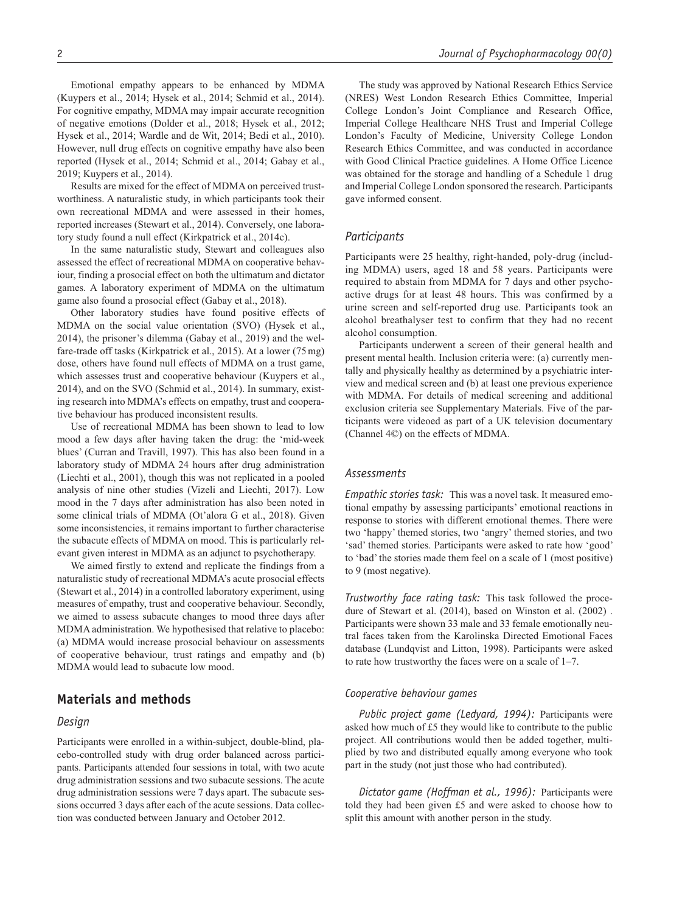Emotional empathy appears to be enhanced by MDMA (Kuypers et al., 2014; Hysek et al., 2014; Schmid et al., 2014). For cognitive empathy, MDMA may impair accurate recognition of negative emotions (Dolder et al., 2018; Hysek et al., 2012; Hysek et al., 2014; Wardle and de Wit, 2014; Bedi et al., 2010). However, null drug effects on cognitive empathy have also been reported (Hysek et al., 2014; Schmid et al., 2014; Gabay et al., 2019; Kuypers et al., 2014).

Results are mixed for the effect of MDMA on perceived trustworthiness. A naturalistic study, in which participants took their own recreational MDMA and were assessed in their homes, reported increases (Stewart et al., 2014). Conversely, one laboratory study found a null effect (Kirkpatrick et al., 2014c).

In the same naturalistic study, Stewart and colleagues also assessed the effect of recreational MDMA on cooperative behaviour, finding a prosocial effect on both the ultimatum and dictator games. A laboratory experiment of MDMA on the ultimatum game also found a prosocial effect (Gabay et al., 2018).

Other laboratory studies have found positive effects of MDMA on the social value orientation (SVO) (Hysek et al., 2014), the prisoner's dilemma (Gabay et al., 2019) and the welfare-trade off tasks (Kirkpatrick et al., 2015). At a lower (75mg) dose, others have found null effects of MDMA on a trust game, which assesses trust and cooperative behaviour (Kuypers et al., 2014), and on the SVO (Schmid et al., 2014). In summary, existing research into MDMA's effects on empathy, trust and cooperative behaviour has produced inconsistent results.

Use of recreational MDMA has been shown to lead to low mood a few days after having taken the drug: the 'mid-week blues' (Curran and Travill, 1997). This has also been found in a laboratory study of MDMA 24 hours after drug administration (Liechti et al., 2001), though this was not replicated in a pooled analysis of nine other studies (Vizeli and Liechti, 2017). Low mood in the 7 days after administration has also been noted in some clinical trials of MDMA (Ot'alora G et al., 2018). Given some inconsistencies, it remains important to further characterise the subacute effects of MDMA on mood. This is particularly relevant given interest in MDMA as an adjunct to psychotherapy.

We aimed firstly to extend and replicate the findings from a naturalistic study of recreational MDMA's acute prosocial effects (Stewart et al., 2014) in a controlled laboratory experiment, using measures of empathy, trust and cooperative behaviour. Secondly, we aimed to assess subacute changes to mood three days after MDMA administration. We hypothesised that relative to placebo: (a) MDMA would increase prosocial behaviour on assessments of cooperative behaviour, trust ratings and empathy and (b) MDMA would lead to subacute low mood.

# **Materials and methods**

#### *Design*

Participants were enrolled in a within-subject, double-blind, placebo-controlled study with drug order balanced across participants. Participants attended four sessions in total, with two acute drug administration sessions and two subacute sessions. The acute drug administration sessions were 7 days apart. The subacute sessions occurred 3 days after each of the acute sessions. Data collection was conducted between January and October 2012.

The study was approved by National Research Ethics Service (NRES) West London Research Ethics Committee, Imperial College London's Joint Compliance and Research Office, Imperial College Healthcare NHS Trust and Imperial College London's Faculty of Medicine, University College London Research Ethics Committee, and was conducted in accordance with Good Clinical Practice guidelines. A Home Office Licence was obtained for the storage and handling of a Schedule 1 drug and Imperial College London sponsored the research. Participants gave informed consent.

#### *Participants*

Participants were 25 healthy, right-handed, poly-drug (including MDMA) users, aged 18 and 58 years. Participants were required to abstain from MDMA for 7 days and other psychoactive drugs for at least 48 hours. This was confirmed by a urine screen and self-reported drug use. Participants took an alcohol breathalyser test to confirm that they had no recent alcohol consumption.

Participants underwent a screen of their general health and present mental health. Inclusion criteria were: (a) currently mentally and physically healthy as determined by a psychiatric interview and medical screen and (b) at least one previous experience with MDMA. For details of medical screening and additional exclusion criteria see Supplementary Materials. Five of the participants were videoed as part of a UK television documentary (Channel 4©) on the effects of MDMA.

#### *Assessments*

*Empathic stories task:* This was a novel task. It measured emotional empathy by assessing participants' emotional reactions in response to stories with different emotional themes. There were two 'happy' themed stories, two 'angry' themed stories, and two 'sad' themed stories. Participants were asked to rate how 'good' to 'bad' the stories made them feel on a scale of 1 (most positive) to 9 (most negative).

*Trustworthy face rating task:* This task followed the procedure of Stewart et al. (2014), based on Winston et al. (2002) . Participants were shown 33 male and 33 female emotionally neutral faces taken from the Karolinska Directed Emotional Faces database (Lundqvist and Litton, 1998). Participants were asked to rate how trustworthy the faces were on a scale of 1–7.

#### *Cooperative behaviour games*

*Public project game (Ledyard, 1994):* Participants were asked how much of £5 they would like to contribute to the public project. All contributions would then be added together, multiplied by two and distributed equally among everyone who took part in the study (not just those who had contributed).

*Dictator game (Hoffman et al., 1996):* Participants were told they had been given £5 and were asked to choose how to split this amount with another person in the study.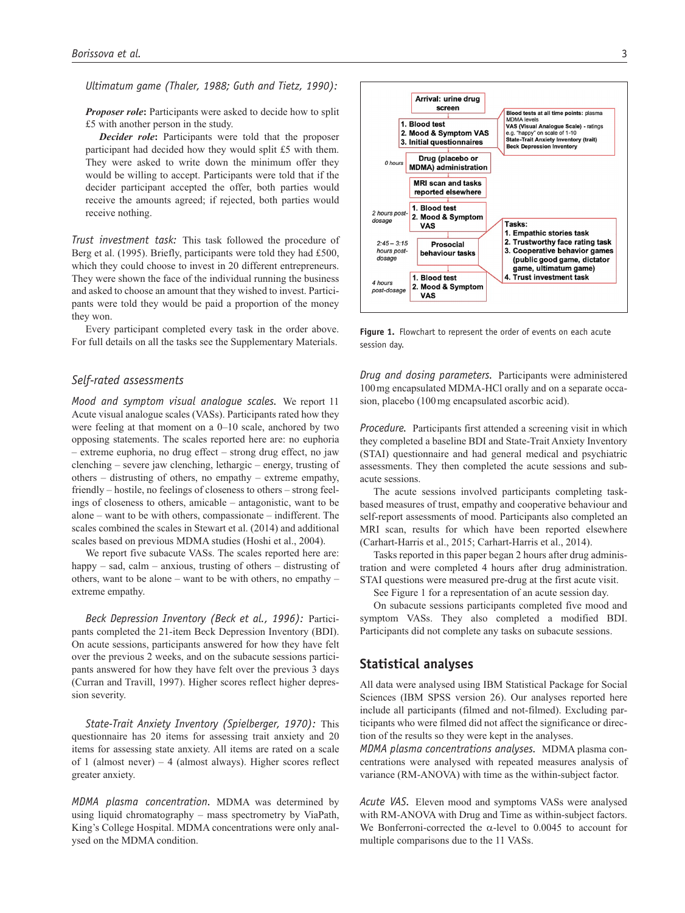#### *Ultimatum game (Thaler, 1988; Guth and Tietz, 1990):*

*Proposer role***:** Participants were asked to decide how to split £5 with another person in the study.

*Decider role***:** Participants were told that the proposer participant had decided how they would split £5 with them. They were asked to write down the minimum offer they would be willing to accept. Participants were told that if the decider participant accepted the offer, both parties would receive the amounts agreed; if rejected, both parties would receive nothing.

*Trust investment task:* This task followed the procedure of Berg et al. (1995). Briefly, participants were told they had £500, which they could choose to invest in 20 different entrepreneurs. They were shown the face of the individual running the business and asked to choose an amount that they wished to invest. Participants were told they would be paid a proportion of the money they won.

Every participant completed every task in the order above. For full details on all the tasks see the Supplementary Materials.

# *Self-rated assessments*

*Mood and symptom visual analogue scales.* We report 11 Acute visual analogue scales (VASs). Participants rated how they were feeling at that moment on a 0–10 scale, anchored by two opposing statements. The scales reported here are: no euphoria – extreme euphoria, no drug effect – strong drug effect, no jaw clenching – severe jaw clenching, lethargic – energy, trusting of others – distrusting of others, no empathy – extreme empathy, friendly – hostile, no feelings of closeness to others – strong feelings of closeness to others, amicable – antagonistic, want to be alone – want to be with others, compassionate – indifferent. The scales combined the scales in Stewart et al. (2014) and additional scales based on previous MDMA studies (Hoshi et al., 2004).

We report five subacute VASs. The scales reported here are: happy – sad, calm – anxious, trusting of others – distrusting of others, want to be alone – want to be with others, no empathy – extreme empathy.

*Beck Depression Inventory (Beck et al., 1996):* Participants completed the 21-item Beck Depression Inventory (BDI). On acute sessions, participants answered for how they have felt over the previous 2 weeks, and on the subacute sessions participants answered for how they have felt over the previous 3 days (Curran and Travill, 1997). Higher scores reflect higher depression severity.

*State-Trait Anxiety Inventory (Spielberger, 1970):* This questionnaire has 20 items for assessing trait anxiety and 20 items for assessing state anxiety. All items are rated on a scale of 1 (almost never) – 4 (almost always). Higher scores reflect greater anxiety.

*MDMA plasma concentration.* MDMA was determined by using liquid chromatography – mass spectrometry by ViaPath, King's College Hospital. MDMA concentrations were only analysed on the MDMA condition.



Figure 1. Flowchart to represent the order of events on each acute session day.

*Drug and dosing parameters.* Participants were administered 100mg encapsulated MDMA-HCl orally and on a separate occasion, placebo (100mg encapsulated ascorbic acid).

*Procedure.* Participants first attended a screening visit in which they completed a baseline BDI and State-Trait Anxiety Inventory (STAI) questionnaire and had general medical and psychiatric assessments. They then completed the acute sessions and subacute sessions.

The acute sessions involved participants completing taskbased measures of trust, empathy and cooperative behaviour and self-report assessments of mood. Participants also completed an MRI scan, results for which have been reported elsewhere (Carhart-Harris et al., 2015; Carhart-Harris et al., 2014).

Tasks reported in this paper began 2 hours after drug administration and were completed 4 hours after drug administration. STAI questions were measured pre-drug at the first acute visit.

See Figure 1 for a representation of an acute session day.

On subacute sessions participants completed five mood and symptom VASs. They also completed a modified BDI. Participants did not complete any tasks on subacute sessions.

# **Statistical analyses**

All data were analysed using IBM Statistical Package for Social Sciences (IBM SPSS version 26). Our analyses reported here include all participants (filmed and not-filmed). Excluding participants who were filmed did not affect the significance or direction of the results so they were kept in the analyses.

*MDMA plasma concentrations analyses.* MDMA plasma concentrations were analysed with repeated measures analysis of variance (RM-ANOVA) with time as the within-subject factor.

*Acute VAS.* Eleven mood and symptoms VASs were analysed with RM-ANOVA with Drug and Time as within-subject factors. We Bonferroni-corrected the α-level to  $0.0045$  to account for multiple comparisons due to the 11 VASs.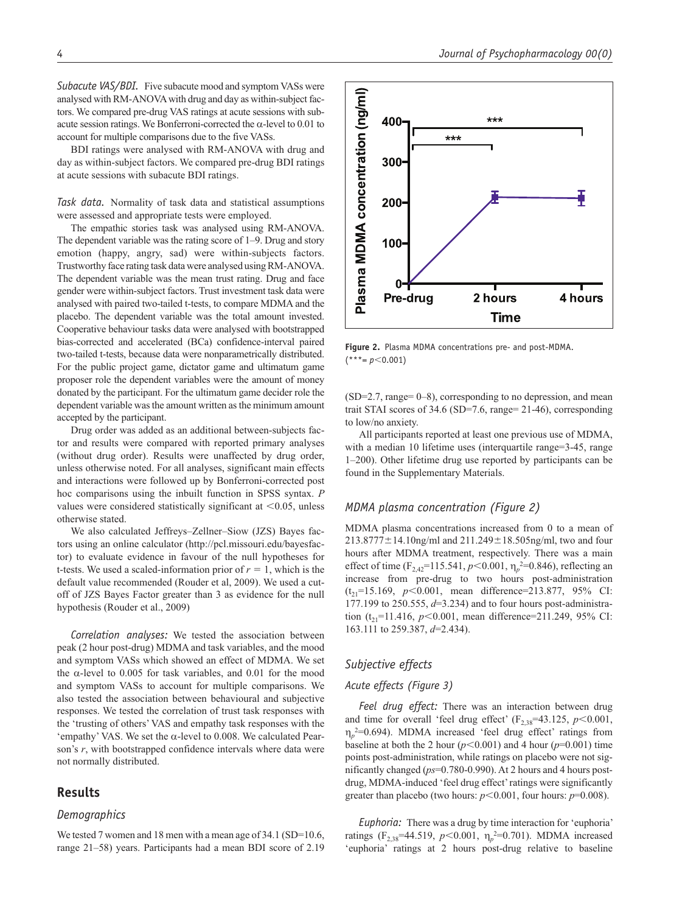*Subacute VAS/BDI.* Five subacute mood and symptom VASs were analysed with RM-ANOVA with drug and day as within-subject factors. We compared pre-drug VAS ratings at acute sessions with subacute session ratings. We Bonferroni-corrected the α-level to 0.01 to account for multiple comparisons due to the five VASs.

BDI ratings were analysed with RM-ANOVA with drug and day as within-subject factors. We compared pre-drug BDI ratings at acute sessions with subacute BDI ratings.

*Task data.* Normality of task data and statistical assumptions were assessed and appropriate tests were employed.

The empathic stories task was analysed using RM-ANOVA. The dependent variable was the rating score of 1–9. Drug and story emotion (happy, angry, sad) were within-subjects factors. Trustworthy face rating task data were analysed using RM-ANOVA. The dependent variable was the mean trust rating. Drug and face gender were within-subject factors. Trust investment task data were analysed with paired two-tailed t-tests, to compare MDMA and the placebo. The dependent variable was the total amount invested. Cooperative behaviour tasks data were analysed with bootstrapped bias-corrected and accelerated (BCa) confidence-interval paired two-tailed t-tests, because data were nonparametrically distributed. For the public project game, dictator game and ultimatum game proposer role the dependent variables were the amount of money donated by the participant. For the ultimatum game decider role the dependent variable was the amount written as the minimum amount accepted by the participant.

Drug order was added as an additional between-subjects factor and results were compared with reported primary analyses (without drug order). Results were unaffected by drug order, unless otherwise noted. For all analyses, significant main effects and interactions were followed up by Bonferroni-corrected post hoc comparisons using the inbuilt function in SPSS syntax. *P* values were considered statistically significant at  $\leq 0.05$ , unless otherwise stated.

We also calculated Jeffreys–Zellner–Siow (JZS) Bayes factors using an online calculator [\(http://pcl.missouri.edu/bayesfac](http://pcl.missouri.edu/bayesfactor)[tor\)](http://pcl.missouri.edu/bayesfactor) to evaluate evidence in favour of the null hypotheses for t-tests. We used a scaled-information prior of  $r = 1$ , which is the default value recommended (Rouder et al, 2009). We used a cutoff of JZS Bayes Factor greater than 3 as evidence for the null hypothesis (Rouder et al., 2009)

*Correlation analyses:* We tested the association between peak (2 hour post-drug) MDMA and task variables, and the mood and symptom VASs which showed an effect of MDMA. We set the α-level to  $0.005$  for task variables, and  $0.01$  for the mood and symptom VASs to account for multiple comparisons. We also tested the association between behavioural and subjective responses. We tested the correlation of trust task responses with the 'trusting of others' VAS and empathy task responses with the 'empathy' VAS. We set the  $\alpha$ -level to 0.008. We calculated Pearson's *r*, with bootstrapped confidence intervals where data were not normally distributed.

# **Results**

#### *Demographics*

We tested 7 women and 18 men with a mean age of 34.1 (SD=10.6, range 21–58) years. Participants had a mean BDI score of 2.19



**Figure 2.** Plasma MDMA concentrations pre- and post-MDMA.  $(***= p<0.001)$ 

(SD=2.7, range= 0–8), corresponding to no depression, and mean trait STAI scores of 34.6 (SD=7.6, range= 21-46), corresponding to low/no anxiety.

All participants reported at least one previous use of MDMA, with a median 10 lifetime uses (interquartile range=3-45, range 1–200). Other lifetime drug use reported by participants can be found in the Supplementary Materials.

## *MDMA plasma concentration (Figure 2)*

MDMA plasma concentrations increased from 0 to a mean of  $213.8777 \pm 14.10$ ng/ml and  $211.249 \pm 18.505$ ng/ml, two and four hours after MDMA treatment, respectively. There was a main effect of time ( $F_{2,42}$ =115.541, *p*<0.001,  $\eta_p$ <sup>2</sup>=0.846), reflecting an increase from pre-drug to two hours post-administration  $(t_{21}=15.169, p<0.001, \text{ mean difference}=213.877, 95\% \text{ CI}:$ 177.199 to 250.555, *d*=3.234) and to four hours post-administration  $(t_{21}=11.416, p<0.001$ , mean difference=211.249, 95% CI: 163.111 to 259.387, *d*=2.434).

# *Subjective effects*

# *Acute effects (Figure 3)*

*Feel drug effect:* There was an interaction between drug and time for overall 'feel drug effect'  $(F_{2,38}=43.125, p<0.001,$ η*p* 2=0.694). MDMA increased 'feel drug effect' ratings from baseline at both the 2 hour ( $p$ <0.001) and 4 hour ( $p$ =0.001) time points post-administration, while ratings on placebo were not significantly changed (*ps*=0.780-0.990). At 2 hours and 4 hours postdrug, MDMA-induced 'feel drug effect' ratings were significantly greater than placebo (two hours:  $p < 0.001$ , four hours:  $p = 0.008$ ).

*Euphoria:* There was a drug by time interaction for 'euphoria' ratings (F<sub>2,38</sub>=44.519,  $p$ <0.001,  $\eta_p$ <sup>2=0.701).</sup> MDMA increased 'euphoria' ratings at 2 hours post-drug relative to baseline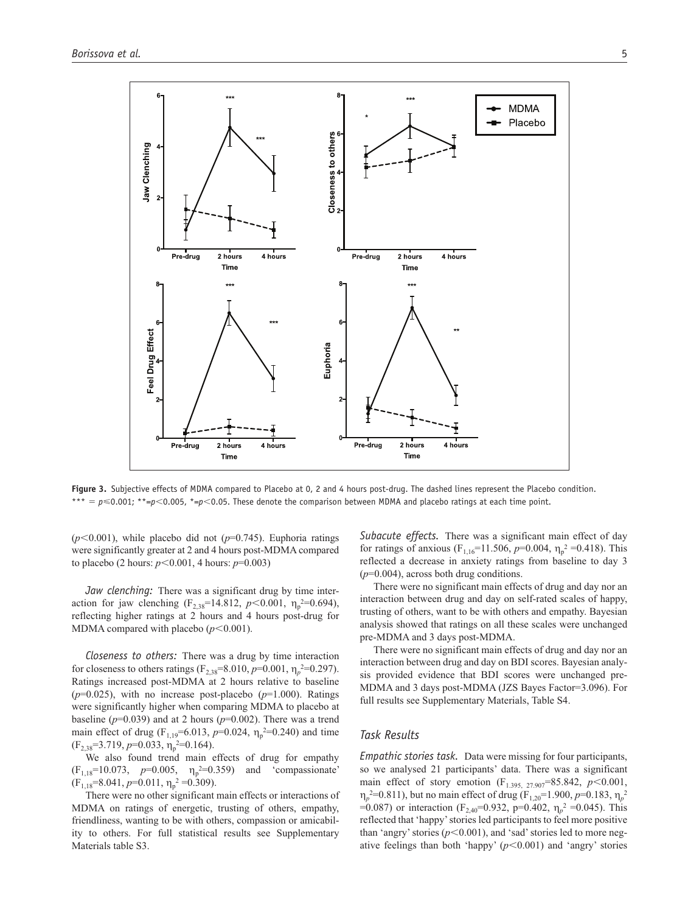

**Figure 3.** Subjective effects of MDMA compared to Placebo at 0, 2 and 4 hours post-drug. The dashed lines represent the Placebo condition. \*\*\*  $= p \le 0.001$ ; \*\* $= p \le 0.005$ , \* $= p \le 0.05$ . These denote the comparison between MDMA and placebo ratings at each time point.

 $(p<0.001)$ , while placebo did not  $(p=0.745)$ . Euphoria ratings were significantly greater at 2 and 4 hours post-MDMA compared to placebo (2 hours: *p*<0.001, 4 hours: *p*=0.003)

*Jaw clenching:* There was a significant drug by time interaction for jaw clenching  $(F_{2,38}=14.812, p<0.001, \eta_p^2=0.694),$ reflecting higher ratings at 2 hours and 4 hours post-drug for MDMA compared with placebo  $(p<0.001)$ .

*Closeness to others:* There was a drug by time interaction for closeness to others ratings ( $F_{2,38}$ =8.010, *p*=0.001,  $\eta_p$ <sup>2=</sup>0.297). Ratings increased post-MDMA at 2 hours relative to baseline  $(p=0.025)$ , with no increase post-placebo  $(p=1.000)$ . Ratings were significantly higher when comparing MDMA to placebo at baseline (*p*=0.039) and at 2 hours (*p*=0.002). There was a trend main effect of drug ( $F_{1,19} = 6.013$ ,  $p = 0.024$ ,  $\eta_p^2 = 0.240$ ) and time  $(F_{2,38}=3.719, p=0.033, \eta_p^2=0.164).$ 

We also found trend main effects of drug for empathy  $(F_{1,18}=10.073, p=0.005, \eta_p^2=0.359)$  and 'compassionate'  $(F_{1,18}=8.041, p=0.011, \eta_p^2=0.309).$ 

There were no other significant main effects or interactions of MDMA on ratings of energetic, trusting of others, empathy, friendliness, wanting to be with others, compassion or amicability to others. For full statistical results see Supplementary Materials table S3.

*Subacute effects.* There was a significant main effect of day for ratings of anxious ( $F_{1,16}$ =11.506, *p*=0.004,  $\eta_p^2$  =0.418). This reflected a decrease in anxiety ratings from baseline to day 3 (*p*=0.004), across both drug conditions.

There were no significant main effects of drug and day nor an interaction between drug and day on self-rated scales of happy, trusting of others, want to be with others and empathy. Bayesian analysis showed that ratings on all these scales were unchanged pre-MDMA and 3 days post-MDMA.

There were no significant main effects of drug and day nor an interaction between drug and day on BDI scores. Bayesian analysis provided evidence that BDI scores were unchanged pre-MDMA and 3 days post-MDMA (JZS Bayes Factor=3.096). For full results see Supplementary Materials, Table S4.

## *Task Results*

*Empathic stories task.* Data were missing for four participants, so we analysed 21 participants' data. There was a significant main effect of story emotion (F<sub>1.395, 27.907</sub>=85.842, *p*<0.001,  $η<sub>p</sub><sup>2</sup>=0.811$ ), but no main effect of drug (F<sub>1,20</sub>=1.900, *p*=0.183,  $η<sub>p</sub><sup>2</sup>$ =0.087) or interaction ( $F_{2,40}$ =0.932, p=0.402,  $\eta_p^2$  =0.045). This reflected that 'happy' stories led participants to feel more positive than 'angry' stories  $(p<0.001)$ , and 'sad' stories led to more negative feelings than both 'happy'  $(p<0.001)$  and 'angry' stories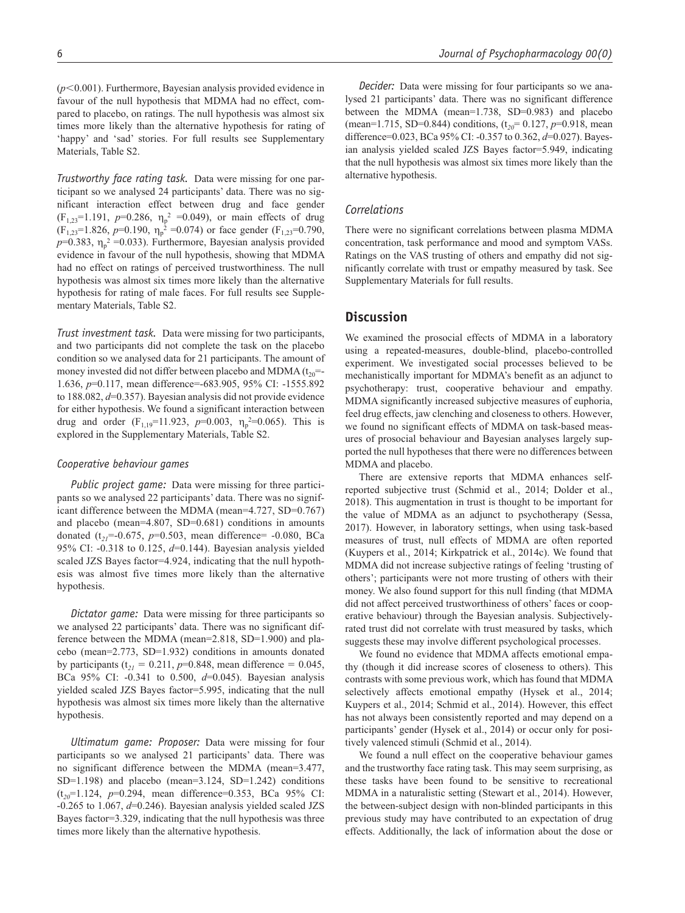(*p*<0.001). Furthermore, Bayesian analysis provided evidence in favour of the null hypothesis that MDMA had no effect, compared to placebo, on ratings. The null hypothesis was almost six times more likely than the alternative hypothesis for rating of 'happy' and 'sad' stories. For full results see Supplementary Materials, Table S2.

*Trustworthy face rating task.* Data were missing for one participant so we analysed 24 participants' data. There was no significant interaction effect between drug and face gender  $(F_{1,23}=1.191, p=0.286, \eta_p^2 = 0.049)$ , or main effects of drug  $(F_{1,23}=1.826, p=0.190, \eta_p^2=0.074)$  or face gender  $(F_{1,23}=0.790,$  $p=0.383$ ,  $\eta_p^2 = 0.033$ ). Furthermore, Bayesian analysis provided evidence in favour of the null hypothesis, showing that MDMA had no effect on ratings of perceived trustworthiness. The null hypothesis was almost six times more likely than the alternative hypothesis for rating of male faces. For full results see Supplementary Materials, Table S2.

*Trust investment task.* Data were missing for two participants, and two participants did not complete the task on the placebo condition so we analysed data for 21 participants. The amount of money invested did not differ between placebo and MDMA  $(t_{20}$ =-1.636, *p*=0.117, mean difference=-683.905, 95% CI: -1555.892 to 188.082, *d*=0.357). Bayesian analysis did not provide evidence for either hypothesis. We found a significant interaction between drug and order  $(F_{1,19}=11.923, p=0.003, \eta_p^2=0.065)$ . This is explored in the Supplementary Materials, Table S2.

## *Cooperative behaviour games*

*Public project game:* Data were missing for three participants so we analysed 22 participants' data. There was no significant difference between the MDMA (mean=4.727, SD=0.767) and placebo (mean=4.807, SD=0.681) conditions in amounts donated (t*21*=-0.675, *p*=0.503, mean difference= -0.080, BCa 95% CI: -0.318 to 0.125, *d*=0.144). Bayesian analysis yielded scaled JZS Bayes factor=4.924, indicating that the null hypothesis was almost five times more likely than the alternative hypothesis.

*Dictator game:* Data were missing for three participants so we analysed 22 participants' data. There was no significant difference between the MDMA (mean=2.818, SD=1.900) and placebo (mean=2.773, SD=1.932) conditions in amounts donated by participants ( $t_{21} = 0.211$ ,  $p=0.848$ , mean difference = 0.045, BCa 95% CI: -0.341 to 0.500, *d*=0.045). Bayesian analysis yielded scaled JZS Bayes factor=5.995, indicating that the null hypothesis was almost six times more likely than the alternative hypothesis.

*Ultimatum game: Proposer:* Data were missing for four participants so we analysed 21 participants' data. There was no significant difference between the MDMA (mean=3.477, SD=1.198) and placebo (mean=3.124, SD=1.242) conditions (t*20*=1.124, *p*=0.294, mean difference=0.353, BCa 95% CI: -0.265 to 1.067, *d*=0.246). Bayesian analysis yielded scaled JZS Bayes factor=3.329, indicating that the null hypothesis was three times more likely than the alternative hypothesis.

*Decider:* Data were missing for four participants so we analysed 21 participants' data. There was no significant difference between the MDMA (mean=1.738, SD=0.983) and placebo (mean=1.715, SD=0.844) conditions,  $(t_{20} = 0.127, p=0.918, \text{ mean}$ difference=0.023, BCa 95% CI: -0.357 to 0.362, *d*=0.027). Bayesian analysis yielded scaled JZS Bayes factor=5.949, indicating that the null hypothesis was almost six times more likely than the alternative hypothesis.

#### *Correlations*

There were no significant correlations between plasma MDMA concentration, task performance and mood and symptom VASs. Ratings on the VAS trusting of others and empathy did not significantly correlate with trust or empathy measured by task. See Supplementary Materials for full results.

# **Discussion**

We examined the prosocial effects of MDMA in a laboratory using a repeated-measures, double-blind, placebo-controlled experiment. We investigated social processes believed to be mechanistically important for MDMA's benefit as an adjunct to psychotherapy: trust, cooperative behaviour and empathy. MDMA significantly increased subjective measures of euphoria, feel drug effects, jaw clenching and closeness to others. However, we found no significant effects of MDMA on task-based measures of prosocial behaviour and Bayesian analyses largely supported the null hypotheses that there were no differences between MDMA and placebo.

There are extensive reports that MDMA enhances selfreported subjective trust (Schmid et al., 2014; Dolder et al., 2018). This augmentation in trust is thought to be important for the value of MDMA as an adjunct to psychotherapy (Sessa, 2017). However, in laboratory settings, when using task-based measures of trust, null effects of MDMA are often reported (Kuypers et al., 2014; Kirkpatrick et al., 2014c). We found that MDMA did not increase subjective ratings of feeling 'trusting of others'; participants were not more trusting of others with their money. We also found support for this null finding (that MDMA did not affect perceived trustworthiness of others' faces or cooperative behaviour) through the Bayesian analysis. Subjectivelyrated trust did not correlate with trust measured by tasks, which suggests these may involve different psychological processes.

We found no evidence that MDMA affects emotional empathy (though it did increase scores of closeness to others). This contrasts with some previous work, which has found that MDMA selectively affects emotional empathy (Hysek et al., 2014; Kuypers et al., 2014; Schmid et al., 2014). However, this effect has not always been consistently reported and may depend on a participants' gender (Hysek et al., 2014) or occur only for positively valenced stimuli (Schmid et al., 2014).

We found a null effect on the cooperative behaviour games and the trustworthy face rating task. This may seem surprising, as these tasks have been found to be sensitive to recreational MDMA in a naturalistic setting (Stewart et al., 2014). However, the between-subject design with non-blinded participants in this previous study may have contributed to an expectation of drug effects. Additionally, the lack of information about the dose or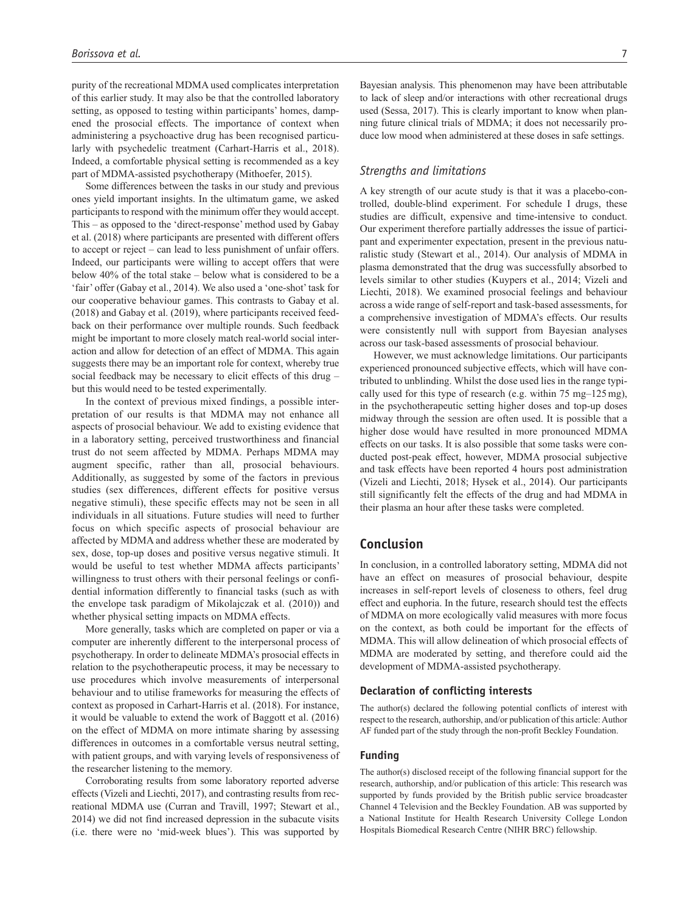purity of the recreational MDMA used complicates interpretation of this earlier study. It may also be that the controlled laboratory setting, as opposed to testing within participants' homes, dampened the prosocial effects. The importance of context when administering a psychoactive drug has been recognised particularly with psychedelic treatment (Carhart-Harris et al., 2018). Indeed, a comfortable physical setting is recommended as a key part of MDMA-assisted psychotherapy (Mithoefer, 2015).

Some differences between the tasks in our study and previous ones yield important insights. In the ultimatum game, we asked participants to respond with the minimum offer they would accept. This – as opposed to the 'direct-response' method used by Gabay et al. (2018) where participants are presented with different offers to accept or reject – can lead to less punishment of unfair offers. Indeed, our participants were willing to accept offers that were below 40% of the total stake – below what is considered to be a 'fair' offer (Gabay et al., 2014). We also used a 'one-shot' task for our cooperative behaviour games. This contrasts to Gabay et al. (2018) and Gabay et al. (2019), where participants received feedback on their performance over multiple rounds. Such feedback might be important to more closely match real-world social interaction and allow for detection of an effect of MDMA. This again suggests there may be an important role for context, whereby true social feedback may be necessary to elicit effects of this drug – but this would need to be tested experimentally.

In the context of previous mixed findings, a possible interpretation of our results is that MDMA may not enhance all aspects of prosocial behaviour. We add to existing evidence that in a laboratory setting, perceived trustworthiness and financial trust do not seem affected by MDMA. Perhaps MDMA may augment specific, rather than all, prosocial behaviours. Additionally, as suggested by some of the factors in previous studies (sex differences, different effects for positive versus negative stimuli), these specific effects may not be seen in all individuals in all situations. Future studies will need to further focus on which specific aspects of prosocial behaviour are affected by MDMA and address whether these are moderated by sex, dose, top-up doses and positive versus negative stimuli. It would be useful to test whether MDMA affects participants' willingness to trust others with their personal feelings or confidential information differently to financial tasks (such as with the envelope task paradigm of Mikolajczak et al. (2010)) and whether physical setting impacts on MDMA effects.

More generally, tasks which are completed on paper or via a computer are inherently different to the interpersonal process of psychotherapy. In order to delineate MDMA's prosocial effects in relation to the psychotherapeutic process, it may be necessary to use procedures which involve measurements of interpersonal behaviour and to utilise frameworks for measuring the effects of context as proposed in Carhart-Harris et al. (2018). For instance, it would be valuable to extend the work of Baggott et al. (2016) on the effect of MDMA on more intimate sharing by assessing differences in outcomes in a comfortable versus neutral setting, with patient groups, and with varying levels of responsiveness of the researcher listening to the memory.

Corroborating results from some laboratory reported adverse effects (Vizeli and Liechti, 2017), and contrasting results from recreational MDMA use (Curran and Travill, 1997; Stewart et al., 2014) we did not find increased depression in the subacute visits (i.e. there were no 'mid-week blues'). This was supported by Bayesian analysis. This phenomenon may have been attributable to lack of sleep and/or interactions with other recreational drugs used (Sessa, 2017). This is clearly important to know when planning future clinical trials of MDMA; it does not necessarily produce low mood when administered at these doses in safe settings.

## *Strengths and limitations*

A key strength of our acute study is that it was a placebo-controlled, double-blind experiment. For schedule I drugs, these studies are difficult, expensive and time-intensive to conduct. Our experiment therefore partially addresses the issue of participant and experimenter expectation, present in the previous naturalistic study (Stewart et al., 2014). Our analysis of MDMA in plasma demonstrated that the drug was successfully absorbed to levels similar to other studies (Kuypers et al., 2014; Vizeli and Liechti, 2018). We examined prosocial feelings and behaviour across a wide range of self-report and task-based assessments, for a comprehensive investigation of MDMA's effects. Our results were consistently null with support from Bayesian analyses across our task-based assessments of prosocial behaviour.

However, we must acknowledge limitations. Our participants experienced pronounced subjective effects, which will have contributed to unblinding. Whilst the dose used lies in the range typically used for this type of research (e.g. within 75 mg–125mg), in the psychotherapeutic setting higher doses and top-up doses midway through the session are often used. It is possible that a higher dose would have resulted in more pronounced MDMA effects on our tasks. It is also possible that some tasks were conducted post-peak effect, however, MDMA prosocial subjective and task effects have been reported 4 hours post administration (Vizeli and Liechti, 2018; Hysek et al., 2014). Our participants still significantly felt the effects of the drug and had MDMA in their plasma an hour after these tasks were completed.

# **Conclusion**

In conclusion, in a controlled laboratory setting, MDMA did not have an effect on measures of prosocial behaviour, despite increases in self-report levels of closeness to others, feel drug effect and euphoria. In the future, research should test the effects of MDMA on more ecologically valid measures with more focus on the context, as both could be important for the effects of MDMA. This will allow delineation of which prosocial effects of MDMA are moderated by setting, and therefore could aid the development of MDMA-assisted psychotherapy.

# **Declaration of conflicting interests**

The author(s) declared the following potential conflicts of interest with respect to the research, authorship, and/or publication of this article: Author AF funded part of the study through the non-profit Beckley Foundation.

#### **Funding**

The author(s) disclosed receipt of the following financial support for the research, authorship, and/or publication of this article: This research was supported by funds provided by the British public service broadcaster Channel 4 Television and the Beckley Foundation. AB was supported by a National Institute for Health Research University College London Hospitals Biomedical Research Centre (NIHR BRC) fellowship.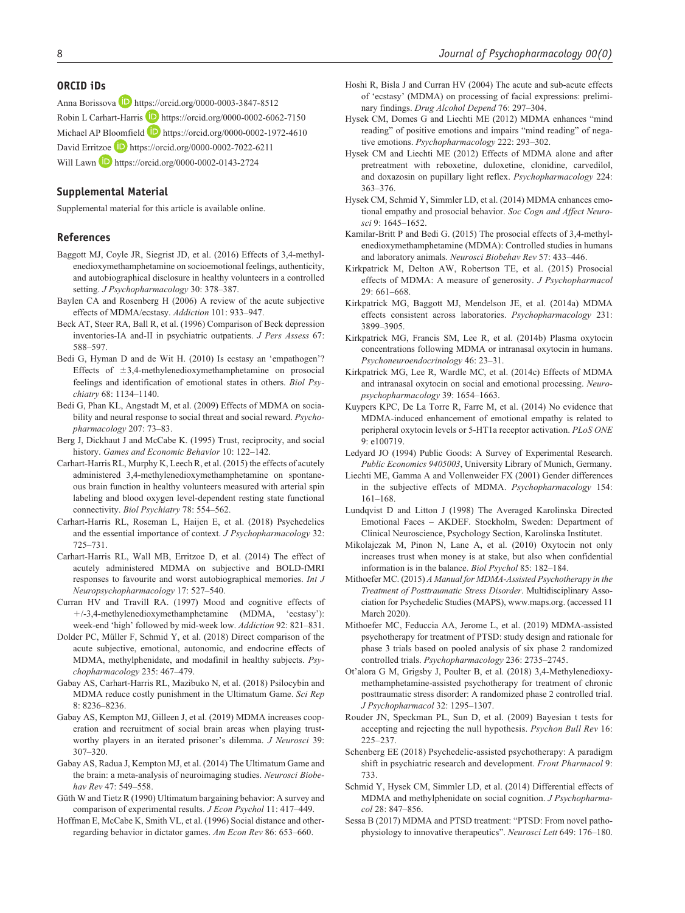#### **ORCID iDs**

Anna Borissova<sup>D</sup> <https://orcid.org/0000-0003-3847-8512> Robin L Carhart-Harris **D** <https://orcid.org/0000-0002-6062-7150> Michael AP Bloomfield **D** <https://orcid.org/0000-0002-1972-4610> David Erritzoe **D** <https://orcid.org/0000-0002-7022-6211> Will Lawn **D** <https://orcid.org/0000-0002-0143-2724>

## **Supplemental Material**

Supplemental material for this article is available online.

## **References**

- Baggott MJ, Coyle JR, Siegrist JD, et al. (2016) Effects of 3,4-methylenedioxymethamphetamine on socioemotional feelings, authenticity, and autobiographical disclosure in healthy volunteers in a controlled setting. *J Psychopharmacology* 30: 378–387.
- Baylen CA and Rosenberg H (2006) A review of the acute subjective effects of MDMA/ecstasy. *Addiction* 101: 933–947.
- Beck AT, Steer RA, Ball R, et al. (1996) Comparison of Beck depression inventories-IA and-II in psychiatric outpatients. *J Pers Assess* 67: 588–597.
- Bedi G, Hyman D and de Wit H. (2010) Is ecstasy an 'empathogen'? Effects of  $\pm 3,4$ -methylenedioxymethamphetamine on prosocial feelings and identification of emotional states in others. *Biol Psychiatry* 68: 1134–1140.
- Bedi G, Phan KL, Angstadt M, et al. (2009) Effects of MDMA on sociability and neural response to social threat and social reward. *Psychopharmacology* 207: 73–83.
- Berg J, Dickhaut J and McCabe K. (1995) Trust, reciprocity, and social history. *Games and Economic Behavior* 10: 122–142.
- Carhart-Harris RL, Murphy K, Leech R, et al. (2015) the effects of acutely administered 3,4-methylenedioxymethamphetamine on spontaneous brain function in healthy volunteers measured with arterial spin labeling and blood oxygen level-dependent resting state functional connectivity. *Biol Psychiatry* 78: 554–562.
- Carhart-Harris RL, Roseman L, Haijen E, et al. (2018) Psychedelics and the essential importance of context. *J Psychopharmacology* 32: 725–731.
- Carhart-Harris RL, Wall MB, Erritzoe D, et al. (2014) The effect of acutely administered MDMA on subjective and BOLD-fMRI responses to favourite and worst autobiographical memories. *Int J Neuropsychopharmacology* 17: 527–540.
- Curran HV and Travill RA. (1997) Mood and cognitive effects of +/-3,4-methylenedioxymethamphetamine (MDMA, 'ecstasy'): week-end 'high' followed by mid-week low. *Addiction* 92: 821–831.
- Dolder PC, Müller F, Schmid Y, et al. (2018) Direct comparison of the acute subjective, emotional, autonomic, and endocrine effects of MDMA, methylphenidate, and modafinil in healthy subjects. *Psychopharmacology* 235: 467–479.
- Gabay AS, Carhart-Harris RL, Mazibuko N, et al. (2018) Psilocybin and MDMA reduce costly punishment in the Ultimatum Game. *Sci Rep* 8: 8236–8236.
- Gabay AS, Kempton MJ, Gilleen J, et al. (2019) MDMA increases cooperation and recruitment of social brain areas when playing trustworthy players in an iterated prisoner's dilemma. *J Neurosci* 39: 307–320.
- Gabay AS, Radua J, Kempton MJ, et al. (2014) The Ultimatum Game and the brain: a meta-analysis of neuroimaging studies. *Neurosci Biobehav Rev* 47: 549–558.
- Güth W and Tietz R (1990) Ultimatum bargaining behavior: A survey and comparison of experimental results. *J Econ Psychol* 11: 417–449.
- Hoffman E, McCabe K, Smith VL, et al. (1996) Social distance and otherregarding behavior in dictator games. *Am Econ Rev* 86: 653–660.
- Hoshi R, Bisla J and Curran HV (2004) The acute and sub-acute effects of 'ecstasy' (MDMA) on processing of facial expressions: preliminary findings. *Drug Alcohol Depend* 76: 297–304.
- Hysek CM, Domes G and Liechti ME (2012) MDMA enhances "mind reading" of positive emotions and impairs "mind reading" of negative emotions. *Psychopharmacology* 222: 293–302.
- Hysek CM and Liechti ME (2012) Effects of MDMA alone and after pretreatment with reboxetine, duloxetine, clonidine, carvedilol, and doxazosin on pupillary light reflex. *Psychopharmacology* 224: 363–376.
- Hysek CM, Schmid Y, Simmler LD, et al. (2014) MDMA enhances emotional empathy and prosocial behavior. *Soc Cogn and Affect Neurosci* 9: 1645–1652.
- Kamilar-Britt P and Bedi G. (2015) The prosocial effects of 3,4-methylenedioxymethamphetamine (MDMA): Controlled studies in humans and laboratory animals. *Neurosci Biobehav Rev* 57: 433–446.
- Kirkpatrick M, Delton AW, Robertson TE, et al. (2015) Prosocial effects of MDMA: A measure of generosity. *J Psychopharmacol* 29: 661–668.
- Kirkpatrick MG, Baggott MJ, Mendelson JE, et al. (2014a) MDMA effects consistent across laboratories. *Psychopharmacology* 231: 3899–3905.
- Kirkpatrick MG, Francis SM, Lee R, et al. (2014b) Plasma oxytocin concentrations following MDMA or intranasal oxytocin in humans. *Psychoneuroendocrinology* 46: 23–31.
- Kirkpatrick MG, Lee R, Wardle MC, et al. (2014c) Effects of MDMA and intranasal oxytocin on social and emotional processing. *Neuropsychopharmacology* 39: 1654–1663.
- Kuypers KPC, De La Torre R, Farre M, et al. (2014) No evidence that MDMA-induced enhancement of emotional empathy is related to peripheral oxytocin levels or 5-HT1a receptor activation. *PLoS ONE* 9: e100719.
- Ledyard JO (1994) Public Goods: A Survey of Experimental Research. *Public Economics 9405003*, University Library of Munich, Germany.
- Liechti ME, Gamma A and Vollenweider FX (2001) Gender differences in the subjective effects of MDMA. *Psychopharmacology* 154: 161–168.
- Lundqvist D and Litton J (1998) The Averaged Karolinska Directed Emotional Faces – AKDEF. Stockholm, Sweden: Department of Clinical Neuroscience, Psychology Section, Karolinska Institutet.
- Mikolajczak M, Pinon N, Lane A, et al. (2010) Oxytocin not only increases trust when money is at stake, but also when confidential information is in the balance. *Biol Psychol* 85: 182–184.
- Mithoefer MC. (2015) *A Manual for MDMA-Assisted Psychotherapy in the Treatment of Posttraumatic Stress Disorder*. Multidisciplinary Association for Psychedelic Studies (MAPS), [www.maps.org.](www.maps.org) (accessed 11 March 2020).
- Mithoefer MC, Feduccia AA, Jerome L, et al. (2019) MDMA-assisted psychotherapy for treatment of PTSD: study design and rationale for phase 3 trials based on pooled analysis of six phase 2 randomized controlled trials. *Psychopharmacology* 236: 2735–2745.
- Ot'alora G M, Grigsby J, Poulter B, et al. (2018) 3,4-Methylenedioxymethamphetamine-assisted psychotherapy for treatment of chronic posttraumatic stress disorder: A randomized phase 2 controlled trial. *J Psychopharmacol* 32: 1295–1307.
- Rouder JN, Speckman PL, Sun D, et al. (2009) Bayesian t tests for accepting and rejecting the null hypothesis. *Psychon Bull Rev* 16: 225–237.
- Schenberg EE (2018) Psychedelic-assisted psychotherapy: A paradigm shift in psychiatric research and development. *Front Pharmacol* 9: 733.
- Schmid Y, Hysek CM, Simmler LD, et al. (2014) Differential effects of MDMA and methylphenidate on social cognition. *J Psychopharmacol* 28: 847–856.
- Sessa B (2017) MDMA and PTSD treatment: "PTSD: From novel pathophysiology to innovative therapeutics". *Neurosci Lett* 649: 176–180.